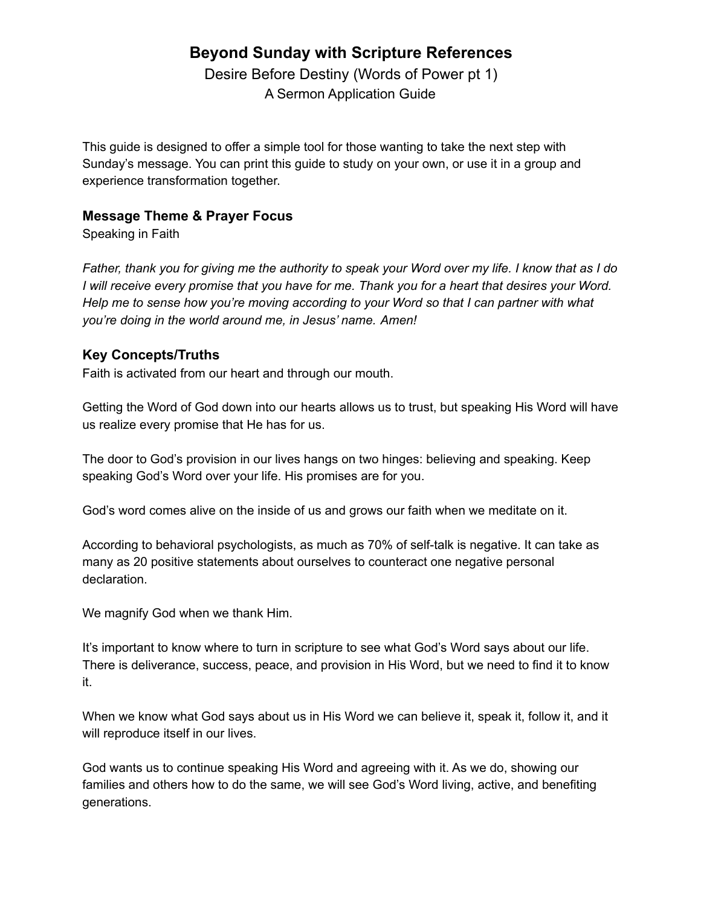# **Beyond Sunday with Scripture References**

Desire Before Destiny (Words of Power pt 1) A Sermon Application Guide

This guide is designed to offer a simple tool for those wanting to take the next step with Sunday's message. You can print this guide to study on your own, or use it in a group and experience transformation together.

## **Message Theme & Prayer Focus**

Speaking in Faith

Father, thank you for giving me the authority to speak your Word over my life. I know that as I do I will receive every promise that you have for me. Thank you for a heart that desires your Word. *Help me to sense how you're moving according to your Word so that I can partner with what you're doing in the world around me, in Jesus' name. Amen!*

## **Key Concepts/Truths**

Faith is activated from our heart and through our mouth.

Getting the Word of God down into our hearts allows us to trust, but speaking His Word will have us realize every promise that He has for us.

The door to God's provision in our lives hangs on two hinges: believing and speaking. Keep speaking God's Word over your life. His promises are for you.

God's word comes alive on the inside of us and grows our faith when we meditate on it.

According to behavioral psychologists, as much as 70% of self-talk is negative. It can take as many as 20 positive statements about ourselves to counteract one negative personal declaration.

We magnify God when we thank Him.

It's important to know where to turn in scripture to see what God's Word says about our life. There is deliverance, success, peace, and provision in His Word, but we need to find it to know it.

When we know what God says about us in His Word we can believe it, speak it, follow it, and it will reproduce itself in our lives.

God wants us to continue speaking His Word and agreeing with it. As we do, showing our families and others how to do the same, we will see God's Word living, active, and benefiting generations.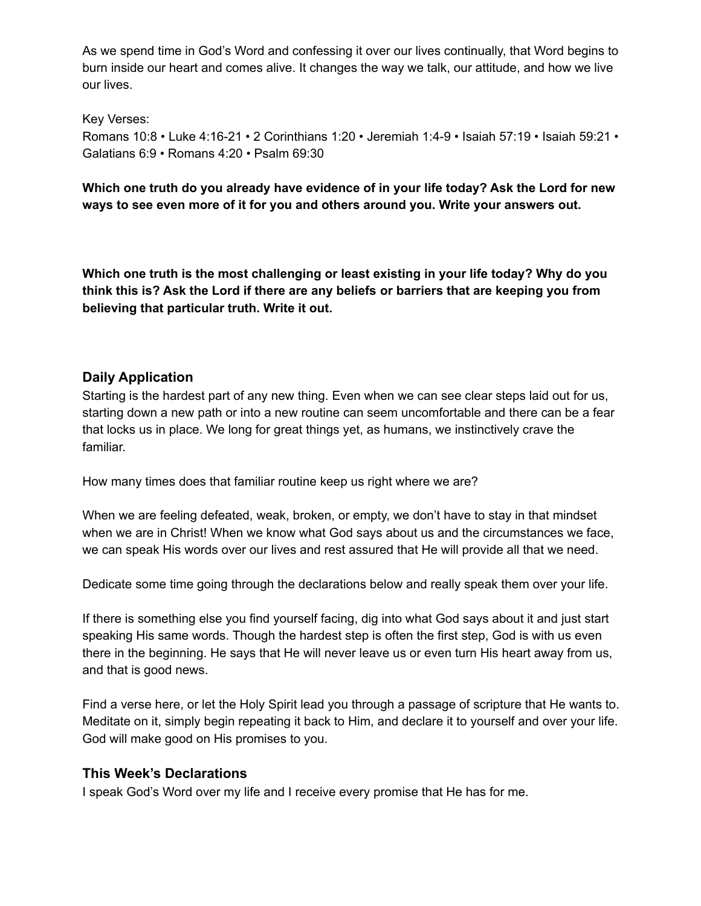As we spend time in God's Word and confessing it over our lives continually, that Word begins to burn inside our heart and comes alive. It changes the way we talk, our attitude, and how we live our lives.

Key Verses: Romans 10:8 • Luke 4:16-21 • 2 Corinthians 1:20 • Jeremiah 1:4-9 • Isaiah 57:19 • Isaiah 59:21 • Galatians 6:9 • Romans 4:20 • Psalm 69:30

**Which one truth do you already have evidence of in your life today? Ask the Lord for new ways to see even more of it for you and others around you. Write your answers out.**

**Which one truth is the most challenging or least existing in your life today? Why do you think this is? Ask the Lord if there are any beliefs or barriers that are keeping you from believing that particular truth. Write it out.**

## **Daily Application**

Starting is the hardest part of any new thing. Even when we can see clear steps laid out for us, starting down a new path or into a new routine can seem uncomfortable and there can be a fear that locks us in place. We long for great things yet, as humans, we instinctively crave the familiar.

How many times does that familiar routine keep us right where we are?

When we are feeling defeated, weak, broken, or empty, we don't have to stay in that mindset when we are in Christ! When we know what God says about us and the circumstances we face, we can speak His words over our lives and rest assured that He will provide all that we need.

Dedicate some time going through the declarations below and really speak them over your life.

If there is something else you find yourself facing, dig into what God says about it and just start speaking His same words. Though the hardest step is often the first step, God is with us even there in the beginning. He says that He will never leave us or even turn His heart away from us, and that is good news.

Find a verse here, or let the Holy Spirit lead you through a passage of scripture that He wants to. Meditate on it, simply begin repeating it back to Him, and declare it to yourself and over your life. God will make good on His promises to you.

#### **This Week's Declarations**

I speak God's Word over my life and I receive every promise that He has for me.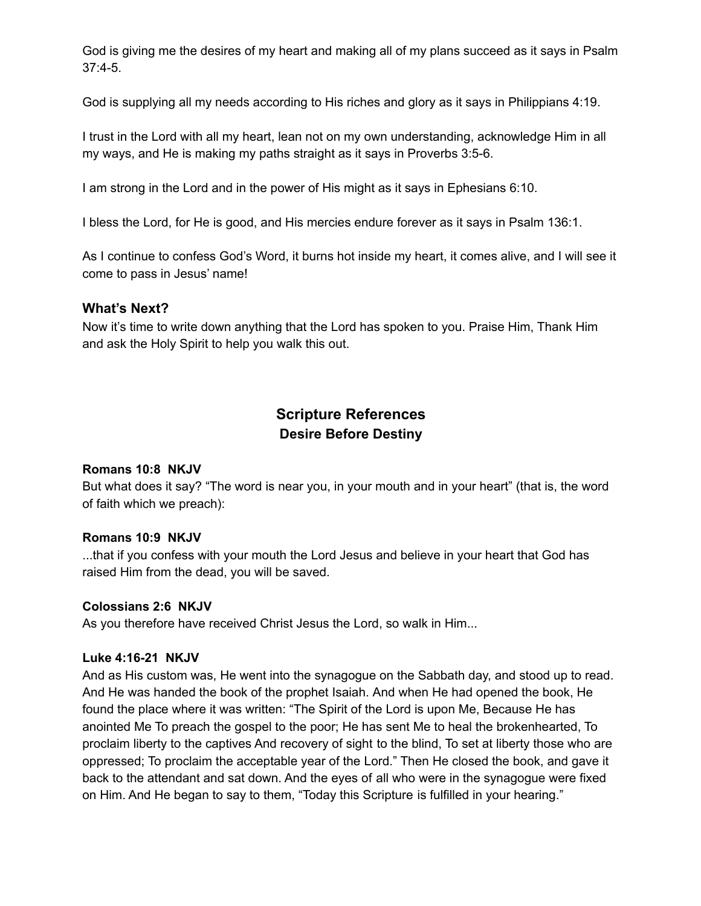God is giving me the desires of my heart and making all of my plans succeed as it says in Psalm 37:4-5.

God is supplying all my needs according to His riches and glory as it says in Philippians 4:19.

I trust in the Lord with all my heart, lean not on my own understanding, acknowledge Him in all my ways, and He is making my paths straight as it says in Proverbs 3:5-6.

I am strong in the Lord and in the power of His might as it says in Ephesians 6:10.

I bless the Lord, for He is good, and His mercies endure forever as it says in Psalm 136:1.

As I continue to confess God's Word, it burns hot inside my heart, it comes alive, and I will see it come to pass in Jesus' name!

#### **What's Next?**

Now it's time to write down anything that the Lord has spoken to you. Praise Him, Thank Him and ask the Holy Spirit to help you walk this out.

## **Scripture References Desire Before Destiny**

#### **Romans 10:8 NKJV**

But what does it say? "The word is near you, in your mouth and in your heart" (that is, the word of faith which we preach):

#### **Romans 10:9 NKJV**

...that if you confess with your mouth the Lord Jesus and believe in your heart that God has raised Him from the dead, you will be saved.

#### **Colossians 2:6 NKJV**

As you therefore have received Christ Jesus the Lord, so walk in Him...

#### **Luke 4:16-21 NKJV**

And as His custom was, He went into the synagogue on the Sabbath day, and stood up to read. And He was handed the book of the prophet Isaiah. And when He had opened the book, He found the place where it was written: "The Spirit of the Lord is upon Me, Because He has anointed Me To preach the gospel to the poor; He has sent Me to heal the brokenhearted, To proclaim liberty to the captives And recovery of sight to the blind, To set at liberty those who are oppressed; To proclaim the acceptable year of the Lord." Then He closed the book, and gave it back to the attendant and sat down. And the eyes of all who were in the synagogue were fixed on Him. And He began to say to them, "Today this Scripture is fulfilled in your hearing."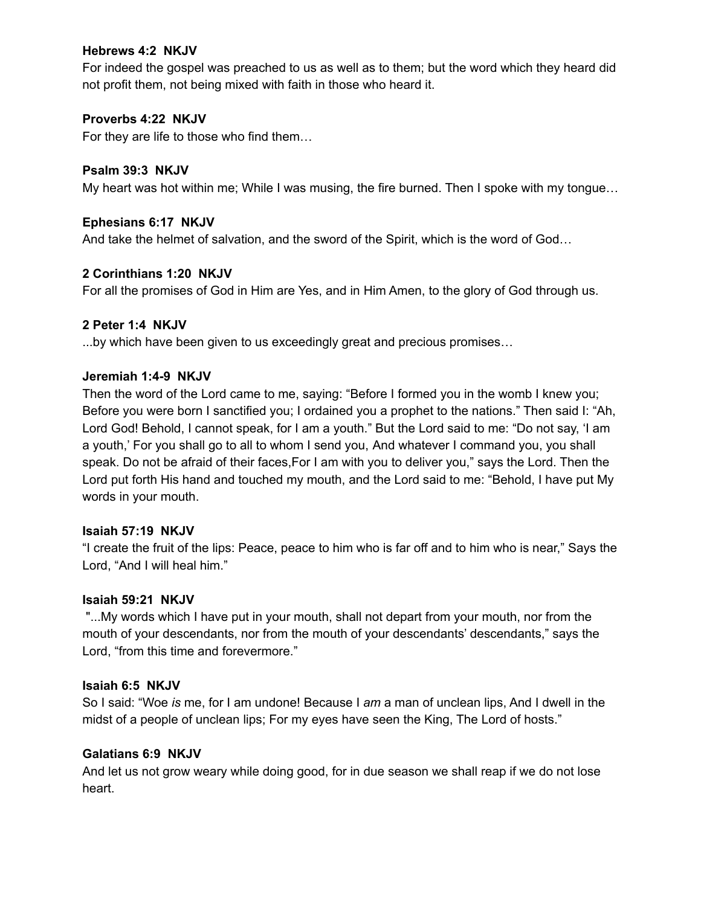#### **Hebrews 4:2 NKJV**

For indeed the gospel was preached to us as well as to them; but the word which they heard did not profit them, not being mixed with faith in those who heard it.

#### **Proverbs 4:22 NKJV**

For they are life to those who find them…

### **Psalm 39:3 NKJV**

My heart was hot within me; While I was musing, the fire burned. Then I spoke with my tongue…

#### **Ephesians 6:17 NKJV**

And take the helmet of salvation, and the sword of the Spirit, which is the word of God…

#### **2 Corinthians 1:20 NKJV**

For all the promises of God in Him are Yes, and in Him Amen, to the glory of God through us.

#### **2 Peter 1:4 NKJV**

...by which have been given to us exceedingly great and precious promises…

#### **Jeremiah 1:4-9 NKJV**

Then the word of the Lord came to me, saying: "Before I formed you in the womb I knew you; Before you were born I sanctified you; I ordained you a prophet to the nations." Then said I: "Ah, Lord God! Behold, I cannot speak, for I am a youth." But the Lord said to me: "Do not say, 'I am a youth,' For you shall go to all to whom I send you, And whatever I command you, you shall speak. Do not be afraid of their faces,For I am with you to deliver you," says the Lord. Then the Lord put forth His hand and touched my mouth, and the Lord said to me: "Behold, I have put My words in your mouth.

#### **Isaiah 57:19 NKJV**

"I create the fruit of the lips: Peace, peace to him who is far off and to him who is near," Says the Lord, "And I will heal him."

#### **Isaiah 59:21 NKJV**

"...My words which I have put in your mouth, shall not depart from your mouth, nor from the mouth of your descendants, nor from the mouth of your descendants' descendants," says the Lord, "from this time and forevermore."

#### **Isaiah 6:5 NKJV**

So I said: "Woe *is* me, for I am undone! Because I *am* a man of unclean lips, And I dwell in the midst of a people of unclean lips; For my eyes have seen the King, The Lord of hosts."

#### **Galatians 6:9 NKJV**

And let us not grow weary while doing good, for in due season we shall reap if we do not lose heart.